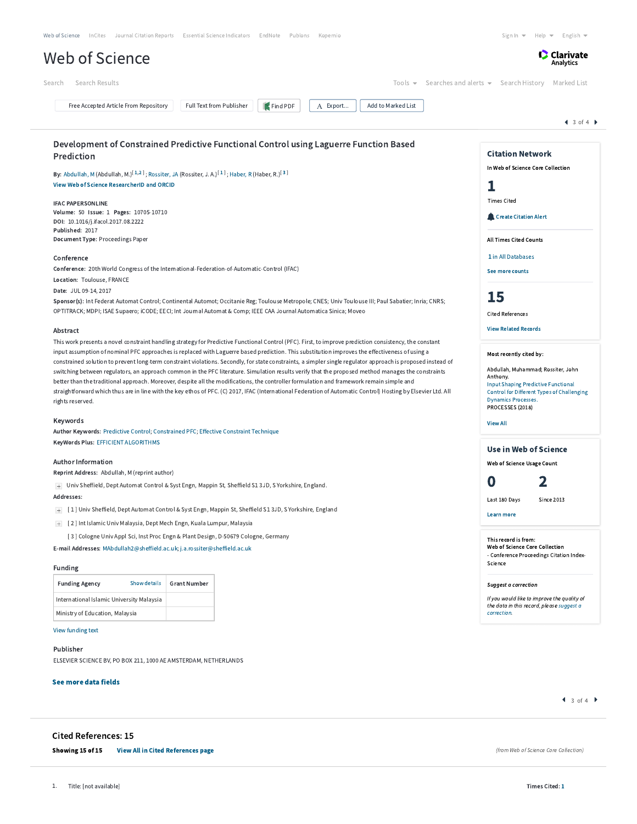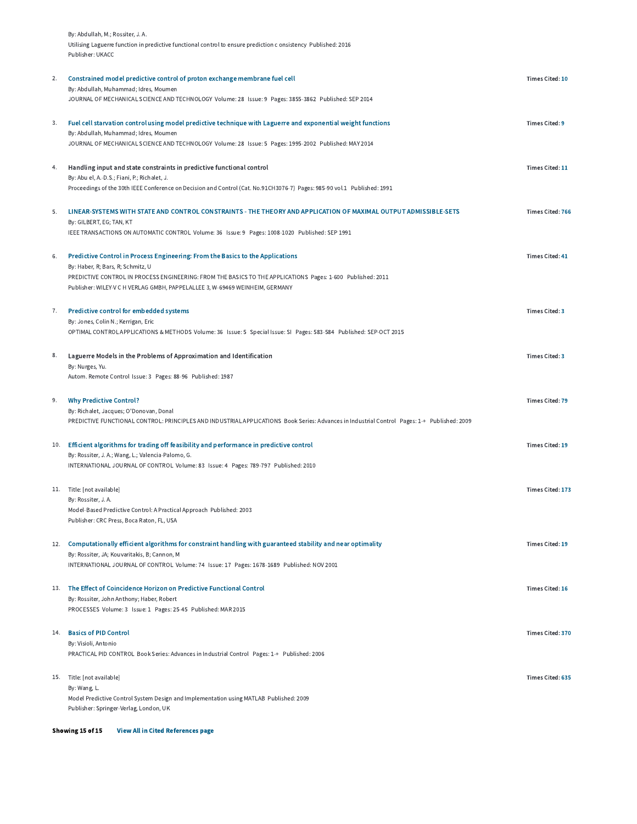|     | By: Abdullah, M.; Rossiter, J. A.                                                                                                                                                           |                         |
|-----|---------------------------------------------------------------------------------------------------------------------------------------------------------------------------------------------|-------------------------|
|     | Utilising Laguerre function in predictive functional control to ensure prediction c onsistency Published: 2016<br>Publisher: UKACC                                                          |                         |
| 2.  | Constrained model predictive control of proton exchange membrane fuel cell<br>By: Abdullah, Muhammad; Idres, Moumen                                                                         | Times Cited: 10         |
|     | JOURNAL OF MECHANICAL SCIENCE AND TECHNOLOGY Volume: 28 Issue: 9 Pages: 3855-3862 Published: SEP 2014                                                                                       |                         |
| 3.  | Fuel cell starvation control using model predictive technique with Laguerre and exponential weight functions<br>By: Abdullah, Muhammad; Idres, Moumen                                       | <b>Times Cited: 9</b>   |
|     | JOURNAL OF MECHANICAL SCIENCE AND TECHNOLOGY Volume: 28 Issue: 5 Pages: 1995-2002 Published: MAY 2014                                                                                       |                         |
| 4.  | Handling input and state constraints in predictive functional control<br>By: Abu el, A.-D.S.; Fiani, P.; Richalet, J.                                                                       | Times Cited: 11         |
|     | Proceedings of the 30th IEEE Conference on Decision and Control (Cat. No.91CH3076-7) Pages: 985-90 vol.1 Published: 1991                                                                    |                         |
| 5.  | LINEAR-SYSTEMS WITH STATE AND CONTROL CONSTRAINTS - THE THEORY AND APPLICATION OF MAXIMAL OUTPUT ADMISSIBLE-SETS<br>By: GILBERT, EG; TAN, KT                                                | <b>Times Cited: 766</b> |
|     | IEEE TRANSACTIONS ON AUTOMATIC CONTROL Volume: 36 Issue: 9 Pages: 1008-1020 Published: SEP 1991                                                                                             |                         |
| 6.  | Predictive Control in Process Engineering: From the Basics to the Applications<br>By: Haber, R; Bars, R; Schmitz, U                                                                         | <b>Times Cited: 41</b>  |
|     | PREDICTIVE CONTROL IN PROCESS ENGINEERING: FROM THE BASICS TO THE APPLICATIONS Pages: 1-600 Published: 2011<br>Publisher: WILEY-V C H VERLAG GMBH, PAPPELALLEE 3, W-69469 WEINHEIM, GERMANY |                         |
| 7.  | Predictive control for embedded systems<br>By: Jones, Colin N.; Kerrigan, Eric                                                                                                              | <b>Times Cited: 3</b>   |
|     | OPTIMAL CONTROL APPLICATIONS & METHODS Volume: 36 Issue: 5 Special Issue: SI Pages: 583-584 Published: SEP-OCT 2015                                                                         |                         |
| 8.  | Laguerre Models in the Problems of Approximation and Identification<br>By: Nurges, Yu.                                                                                                      | <b>Times Cited: 3</b>   |
|     | Autom. Remote Control Issue: 3 Pages: 88-96 Published: 1987                                                                                                                                 |                         |
| 9.  | <b>Why Predictive Control?</b><br>By: Richalet, Jacques; O'Donovan, Donal                                                                                                                   | <b>Times Cited: 79</b>  |
|     | PREDICTIVE FUNCTIONAL CONTROL: PRINCIPLES AND INDUSTRIAL APPLICATIONS Book Series: Advances in Industrial Control Pages: 1-+ Published: 2009                                                |                         |
| 10. | Efficient algorithms for trading off feasibility and performance in predictive control<br>By: Rossiter, J. A.; Wang, L.; Valencia-Palomo, G.                                                | Times Cited: 19         |
|     | INTERNATIONAL JOURNAL OF CONTROL Volume: 83 Issue: 4 Pages: 789-797 Published: 2010                                                                                                         |                         |
|     | 11. Title: [not available]<br>By: Rossiter, J.A.                                                                                                                                            | Times Cited: 173        |
|     | Model-Based Predictive Control: A Practical Approach Published: 2003<br>Publisher: CRC Press, Boca Raton, FL, USA                                                                           |                         |
| 12. | Computationally efficient algorithms for constraint handling with guaranteed stability and near optimality                                                                                  | Times Cited: 19         |
|     | By: Rossiter, JA; Kouvaritakis, B; Cannon, M<br>INTERNATIONAL JOURNAL OF CONTROL Volume: 74 Issue: 17 Pages: 1678-1689 Published: NOV 2001                                                  |                         |
|     | 13. The Effect of Coincidence Horizon on Predictive Functional Control                                                                                                                      | <b>Times Cited: 16</b>  |
|     | By: Rossiter, John Anthony; Haber, Robert<br>PROCESSES Volume: 3 Issue: 1 Pages: 25-45 Published: MAR 2015                                                                                  |                         |
| 14. | <b>Basics of PID Control</b>                                                                                                                                                                | <b>Times Cited: 370</b> |
|     | By: Visioli, Antonio<br>PRACTICAL PID CONTROL Book Series: Advances in Industrial Control Pages: 1-+ Published: 2006                                                                        |                         |
|     | 15. Title: [not available]                                                                                                                                                                  | Times Cited: 635        |
|     | By: Wang, L.<br>Model Predictive Control System Design and Implementation using MATLAB Published: 2009                                                                                      |                         |
|     | Publisher: Springer-Verlag, London, UK                                                                                                                                                      |                         |

Showing 15 of 15 [View All in Cited References page](http://apps.webofknowledge.com.ezproxy.um.edu.my/summary.do?product=WOS&parentProduct=WOS&search_mode=CitedRefList&parentQid=5&parentDoc=3&qid=6&SID=F1m8zjxeBNhJVIvKO7p&colName=WOS&page=1)